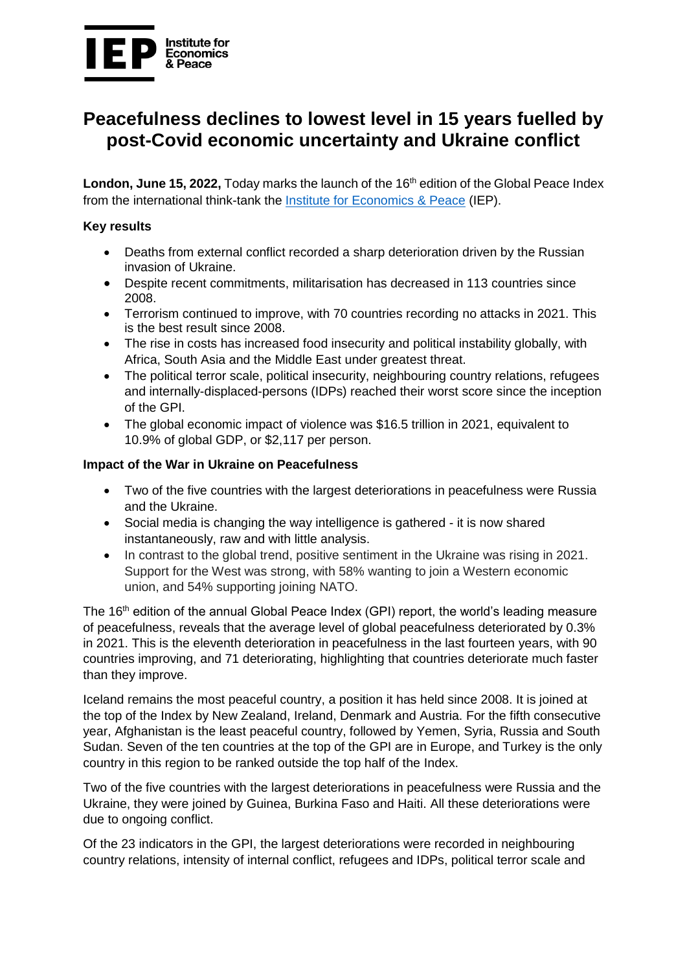

# **Peacefulness declines to lowest level in 15 years fuelled by post-Covid economic uncertainty and Ukraine conflict**

London, June 15, 2022, Today marks the launch of the 16<sup>th</sup> edition of the Global Peace Index from the international think-tank the [Institute for Economics & Peace](https://www.economicsandpeace.org/) (IEP).

#### **Key results**

- Deaths from external conflict recorded a sharp deterioration driven by the Russian invasion of Ukraine.
- Despite recent commitments, militarisation has decreased in 113 countries since 2008.
- Terrorism continued to improve, with 70 countries recording no attacks in 2021. This is the best result since 2008.
- The rise in costs has increased food insecurity and political instability globally, with Africa, South Asia and the Middle East under greatest threat.
- The political terror scale, political insecurity, neighbouring country relations, refugees and internally-displaced-persons (IDPs) reached their worst score since the inception of the GPI.
- The global economic impact of violence was \$16.5 trillion in 2021, equivalent to 10.9% of global GDP, or \$2,117 per person.

#### **Impact of the War in Ukraine on Peacefulness**

- Two of the five countries with the largest deteriorations in peacefulness were Russia and the Ukraine.
- Social media is changing the way intelligence is gathered it is now shared instantaneously, raw and with little analysis.
- In contrast to the global trend, positive sentiment in the Ukraine was rising in 2021. Support for the West was strong, with 58% wanting to join a Western economic union, and 54% supporting joining NATO.

The 16<sup>th</sup> edition of the annual Global Peace Index (GPI) report, the world's leading measure of peacefulness, reveals that the average level of global peacefulness deteriorated by 0.3% in 2021. This is the eleventh deterioration in peacefulness in the last fourteen years, with 90 countries improving, and 71 deteriorating, highlighting that countries deteriorate much faster than they improve.

Iceland remains the most peaceful country, a position it has held since 2008. It is joined at the top of the Index by New Zealand, Ireland, Denmark and Austria. For the fifth consecutive year, Afghanistan is the least peaceful country, followed by Yemen, Syria, Russia and South Sudan. Seven of the ten countries at the top of the GPI are in Europe, and Turkey is the only country in this region to be ranked outside the top half of the Index.

Two of the five countries with the largest deteriorations in peacefulness were Russia and the Ukraine, they were joined by Guinea, Burkina Faso and Haiti. All these deteriorations were due to ongoing conflict.

Of the 23 indicators in the GPI, the largest deteriorations were recorded in neighbouring country relations, intensity of internal conflict, refugees and IDPs, political terror scale and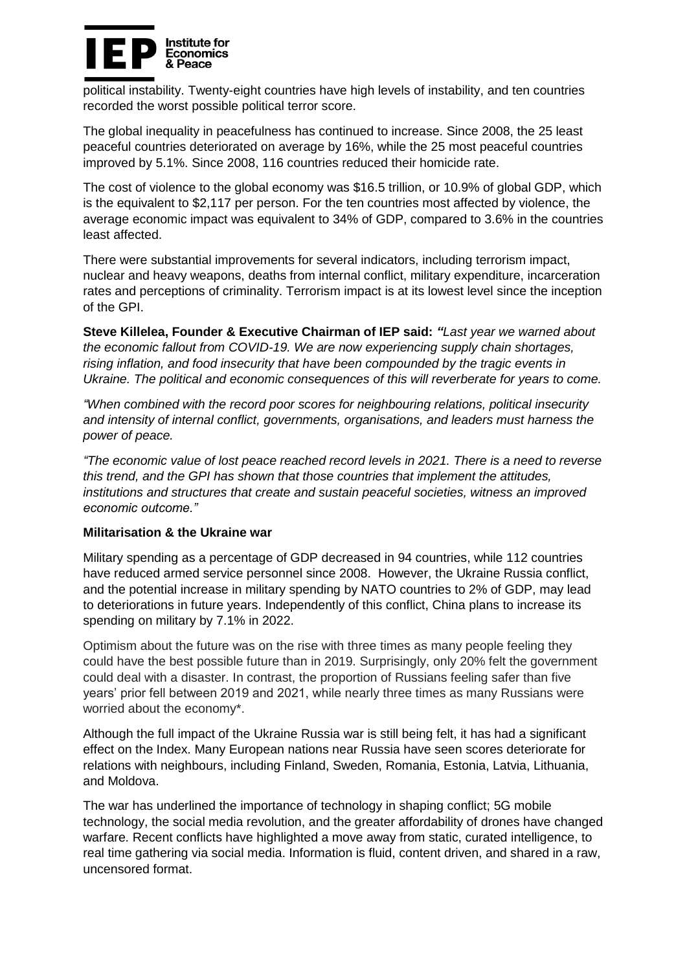

political instability. Twenty-eight countries have high levels of instability, and ten countries recorded the worst possible political terror score.

The global inequality in peacefulness has continued to increase. Since 2008, the 25 least peaceful countries deteriorated on average by 16%, while the 25 most peaceful countries improved by 5.1%. Since 2008, 116 countries reduced their homicide rate.

The cost of violence to the global economy was \$16.5 trillion, or 10.9% of global GDP, which is the equivalent to \$2,117 per person. For the ten countries most affected by violence, the average economic impact was equivalent to 34% of GDP, compared to 3.6% in the countries least affected.

There were substantial improvements for several indicators, including terrorism impact, nuclear and heavy weapons, deaths from internal conflict, military expenditure, incarceration rates and perceptions of criminality. Terrorism impact is at its lowest level since the inception of the GPI.

**Steve Killelea, Founder & Executive Chairman of IEP said:** *"Last year we warned about the economic fallout from COVID-19. We are now experiencing supply chain shortages, rising inflation, and food insecurity that have been compounded by the tragic events in Ukraine. The political and economic consequences of this will reverberate for years to come.* 

*"When combined with the record poor scores for neighbouring relations, political insecurity and intensity of internal conflict, governments, organisations, and leaders must harness the power of peace.* 

*"The economic value of lost peace reached record levels in 2021. There is a need to reverse this trend, and the GPI has shown that those countries that implement the attitudes, institutions and structures that create and sustain peaceful societies, witness an improved economic outcome."*

#### **Militarisation & the Ukraine war**

Military spending as a percentage of GDP decreased in 94 countries, while 112 countries have reduced armed service personnel since 2008. However, the Ukraine Russia conflict, and the potential increase in military spending by NATO countries to 2% of GDP, may lead to deteriorations in future years. Independently of this conflict, China plans to increase its spending on military by 7.1% in 2022.

Optimism about the future was on the rise with three times as many people feeling they could have the best possible future than in 2019. Surprisingly, only 20% felt the government could deal with a disaster. In contrast, the proportion of Russians feeling safer than five years' prior fell between 2019 and 2021, while nearly three times as many Russians were worried about the economy\*.

Although the full impact of the Ukraine Russia war is still being felt, it has had a significant effect on the Index. Many European nations near Russia have seen scores deteriorate for relations with neighbours, including Finland, Sweden, Romania, Estonia, Latvia, Lithuania, and Moldova.

The war has underlined the importance of technology in shaping conflict; 5G mobile technology, the social media revolution, and the greater affordability of drones have changed warfare. Recent conflicts have highlighted a move away from static, curated intelligence, to real time gathering via social media. Information is fluid, content driven, and shared in a raw, uncensored format.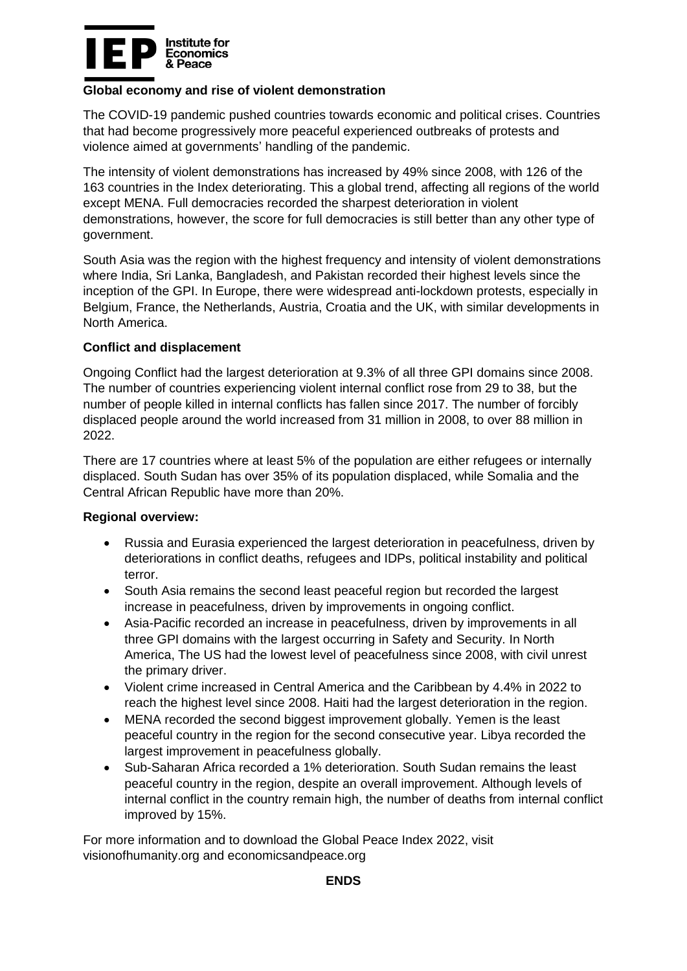

## **Global economy and rise of violent demonstration**

The COVID-19 pandemic pushed countries towards economic and political crises. Countries that had become progressively more peaceful experienced outbreaks of protests and violence aimed at governments' handling of the pandemic.

The intensity of violent demonstrations has increased by 49% since 2008, with 126 of the 163 countries in the Index deteriorating. This a global trend, affecting all regions of the world except MENA. Full democracies recorded the sharpest deterioration in violent demonstrations, however, the score for full democracies is still better than any other type of government.

South Asia was the region with the highest frequency and intensity of violent demonstrations where India, Sri Lanka, Bangladesh, and Pakistan recorded their highest levels since the inception of the GPI. In Europe, there were widespread anti-lockdown protests, especially in Belgium, France, the Netherlands, Austria, Croatia and the UK, with similar developments in North America.

## **Conflict and displacement**

Ongoing Conflict had the largest deterioration at 9.3% of all three GPI domains since 2008. The number of countries experiencing violent internal conflict rose from 29 to 38, but the number of people killed in internal conflicts has fallen since 2017. The number of forcibly displaced people around the world increased from 31 million in 2008, to over 88 million in 2022.

There are 17 countries where at least 5% of the population are either refugees or internally displaced. South Sudan has over 35% of its population displaced, while Somalia and the Central African Republic have more than 20%.

#### **Regional overview:**

- Russia and Eurasia experienced the largest deterioration in peacefulness, driven by deteriorations in conflict deaths, refugees and IDPs, political instability and political terror.
- South Asia remains the second least peaceful region but recorded the largest increase in peacefulness, driven by improvements in ongoing conflict.
- Asia-Pacific recorded an increase in peacefulness, driven by improvements in all three GPI domains with the largest occurring in Safety and Security. In North America, The US had the lowest level of peacefulness since 2008, with civil unrest the primary driver.
- Violent crime increased in Central America and the Caribbean by 4.4% in 2022 to reach the highest level since 2008. Haiti had the largest deterioration in the region.
- MENA recorded the second biggest improvement globally. Yemen is the least peaceful country in the region for the second consecutive year. Libya recorded the largest improvement in peacefulness globally.
- Sub-Saharan Africa recorded a 1% deterioration. South Sudan remains the least peaceful country in the region, despite an overall improvement. Although levels of internal conflict in the country remain high, the number of deaths from internal conflict improved by 15%.

For more information and to download the Global Peace Index 2022, visit visionofhumanity.org and economicsandpeace.org